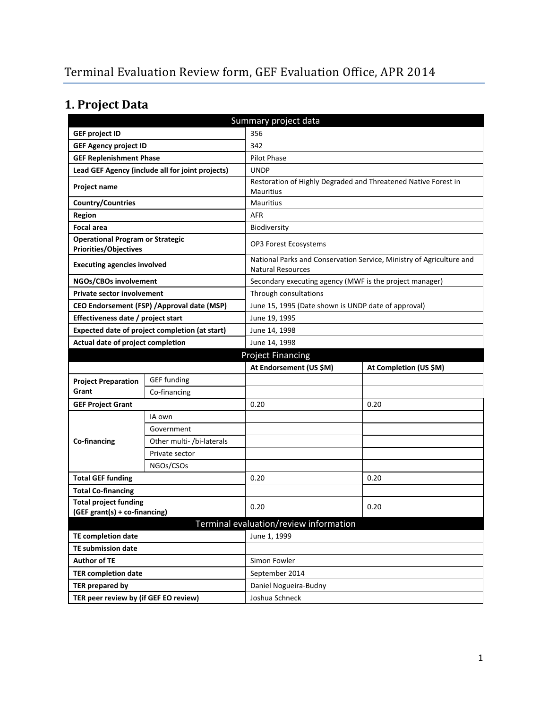# **1. Project Data**

| Summary project data                                                    |                                                  |                                                         |                                                                      |  |
|-------------------------------------------------------------------------|--------------------------------------------------|---------------------------------------------------------|----------------------------------------------------------------------|--|
| <b>GEF project ID</b>                                                   | 356                                              |                                                         |                                                                      |  |
| <b>GEF Agency project ID</b>                                            |                                                  | 342                                                     |                                                                      |  |
| <b>GEF Replenishment Phase</b>                                          |                                                  | <b>Pilot Phase</b>                                      |                                                                      |  |
|                                                                         | Lead GEF Agency (include all for joint projects) | <b>UNDP</b>                                             |                                                                      |  |
| Project name                                                            |                                                  |                                                         | Restoration of Highly Degraded and Threatened Native Forest in       |  |
|                                                                         |                                                  | Mauritius                                               |                                                                      |  |
| Country/Countries                                                       |                                                  | <b>Mauritius</b>                                        |                                                                      |  |
| <b>AFR</b><br><b>Region</b>                                             |                                                  |                                                         |                                                                      |  |
| <b>Focal area</b>                                                       |                                                  | Biodiversity                                            |                                                                      |  |
| <b>Operational Program or Strategic</b><br><b>Priorities/Objectives</b> |                                                  | OP3 Forest Ecosystems                                   |                                                                      |  |
| <b>Executing agencies involved</b>                                      |                                                  | <b>Natural Resources</b>                                | National Parks and Conservation Service, Ministry of Agriculture and |  |
| NGOs/CBOs involvement                                                   |                                                  | Secondary executing agency (MWF is the project manager) |                                                                      |  |
| <b>Private sector involvement</b>                                       |                                                  | Through consultations                                   |                                                                      |  |
|                                                                         | CEO Endorsement (FSP) / Approval date (MSP)      | June 15, 1995 (Date shown is UNDP date of approval)     |                                                                      |  |
| Effectiveness date / project start                                      |                                                  | June 19, 1995                                           |                                                                      |  |
|                                                                         | Expected date of project completion (at start)   | June 14, 1998                                           |                                                                      |  |
| Actual date of project completion                                       |                                                  | June 14, 1998                                           |                                                                      |  |
|                                                                         |                                                  | <b>Project Financing</b>                                |                                                                      |  |
|                                                                         |                                                  |                                                         |                                                                      |  |
|                                                                         |                                                  | At Endorsement (US \$M)                                 | At Completion (US \$M)                                               |  |
| <b>Project Preparation</b>                                              | <b>GEF</b> funding                               |                                                         |                                                                      |  |
| Grant                                                                   | Co-financing                                     |                                                         |                                                                      |  |
| <b>GEF Project Grant</b>                                                |                                                  | 0.20                                                    | 0.20                                                                 |  |
|                                                                         | IA own                                           |                                                         |                                                                      |  |
|                                                                         | Government                                       |                                                         |                                                                      |  |
| Co-financing                                                            | Other multi- /bi-laterals                        |                                                         |                                                                      |  |
|                                                                         | Private sector                                   |                                                         |                                                                      |  |
|                                                                         | NGOs/CSOs                                        |                                                         |                                                                      |  |
| <b>Total GEF funding</b>                                                |                                                  | 0.20                                                    | 0.20                                                                 |  |
| <b>Total Co-financing</b>                                               |                                                  |                                                         |                                                                      |  |
| <b>Total project funding</b>                                            |                                                  |                                                         |                                                                      |  |
| (GEF grant(s) + co-financing)                                           |                                                  | 0.20                                                    | 0.20                                                                 |  |
|                                                                         |                                                  | Terminal evaluation/review information                  |                                                                      |  |
| TE completion date                                                      |                                                  | June 1, 1999                                            |                                                                      |  |
| TE submission date                                                      |                                                  |                                                         |                                                                      |  |
| <b>Author of TE</b>                                                     |                                                  | Simon Fowler                                            |                                                                      |  |
| <b>TER completion date</b>                                              |                                                  | September 2014                                          |                                                                      |  |
| <b>TER prepared by</b>                                                  |                                                  | Daniel Nogueira-Budny                                   |                                                                      |  |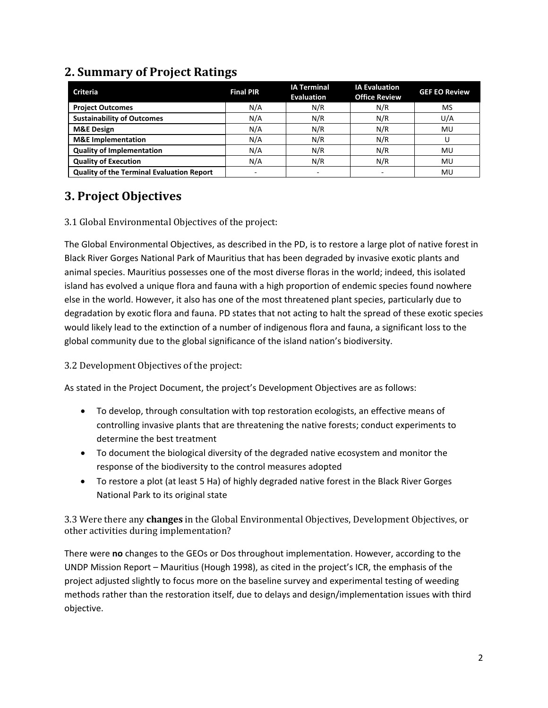| <b>Criteria</b>                                  | <b>Final PIR</b>         | <b>IA Terminal</b><br><b>Evaluation</b> | <b>IA Evaluation</b><br><b>Office Review</b> | <b>GEF EO Review</b> |
|--------------------------------------------------|--------------------------|-----------------------------------------|----------------------------------------------|----------------------|
| <b>Project Outcomes</b>                          | N/A                      | N/R                                     | N/R                                          | MS                   |
| <b>Sustainability of Outcomes</b>                | N/A                      | N/R                                     | N/R                                          | U/A                  |
| <b>M&amp;E Design</b>                            | N/A                      | N/R                                     | N/R                                          | MU                   |
| <b>M&amp;E</b> Implementation                    | N/A                      | N/R                                     | N/R                                          |                      |
| <b>Quality of Implementation</b>                 | N/A                      | N/R                                     | N/R                                          | MU                   |
| <b>Quality of Execution</b>                      | N/A                      | N/R                                     | N/R                                          | MU                   |
| <b>Quality of the Terminal Evaluation Report</b> | $\overline{\phantom{a}}$ |                                         |                                              | MU                   |

### **2. Summary of Project Ratings**

### **3. Project Objectives**

#### 3.1 Global Environmental Objectives of the project:

The Global Environmental Objectives, as described in the PD, is to restore a large plot of native forest in Black River Gorges National Park of Mauritius that has been degraded by invasive exotic plants and animal species. Mauritius possesses one of the most diverse floras in the world; indeed, this isolated island has evolved a unique flora and fauna with a high proportion of endemic species found nowhere else in the world. However, it also has one of the most threatened plant species, particularly due to degradation by exotic flora and fauna. PD states that not acting to halt the spread of these exotic species would likely lead to the extinction of a number of indigenous flora and fauna, a significant loss to the global community due to the global significance of the island nation's biodiversity.

3.2 Development Objectives of the project:

As stated in the Project Document, the project's Development Objectives are as follows:

- To develop, through consultation with top restoration ecologists, an effective means of controlling invasive plants that are threatening the native forests; conduct experiments to determine the best treatment
- To document the biological diversity of the degraded native ecosystem and monitor the response of the biodiversity to the control measures adopted
- To restore a plot (at least 5 Ha) of highly degraded native forest in the Black River Gorges National Park to its original state

3.3 Were there any **changes** in the Global Environmental Objectives, Development Objectives, or other activities during implementation?

There were **no** changes to the GEOs or Dos throughout implementation. However, according to the UNDP Mission Report – Mauritius (Hough 1998), as cited in the project's ICR, the emphasis of the project adjusted slightly to focus more on the baseline survey and experimental testing of weeding methods rather than the restoration itself, due to delays and design/implementation issues with third objective.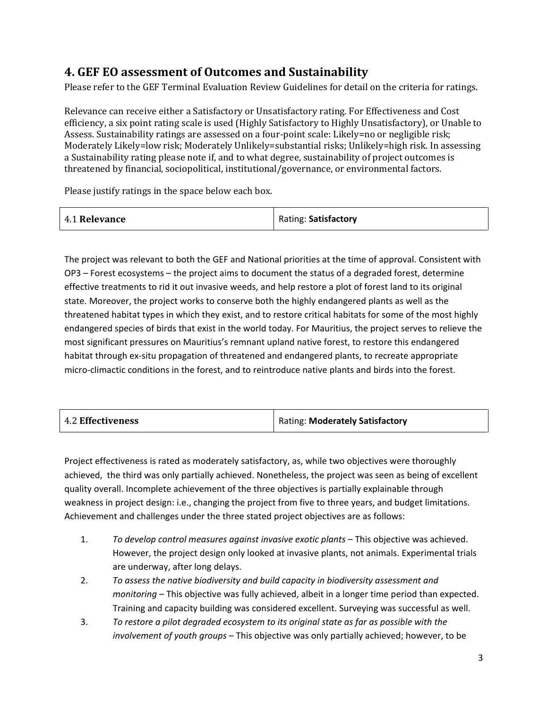### **4. GEF EO assessment of Outcomes and Sustainability**

Please refer to the GEF Terminal Evaluation Review Guidelines for detail on the criteria for ratings.

Relevance can receive either a Satisfactory or Unsatisfactory rating. For Effectiveness and Cost efficiency, a six point rating scale is used (Highly Satisfactory to Highly Unsatisfactory), or Unable to Assess. Sustainability ratings are assessed on a four-point scale: Likely=no or negligible risk; Moderately Likely=low risk; Moderately Unlikely=substantial risks; Unlikely=high risk. In assessing a Sustainability rating please note if, and to what degree, sustainability of project outcomes is threatened by financial, sociopolitical, institutional/governance, or environmental factors.

Please justify ratings in the space below each box.

| 4.1 Relevance | Rating: Satisfactory |
|---------------|----------------------|
|---------------|----------------------|

The project was relevant to both the GEF and National priorities at the time of approval. Consistent with OP3 – Forest ecosystems – the project aims to document the status of a degraded forest, determine effective treatments to rid it out invasive weeds, and help restore a plot of forest land to its original state. Moreover, the project works to conserve both the highly endangered plants as well as the threatened habitat types in which they exist, and to restore critical habitats for some of the most highly endangered species of birds that exist in the world today. For Mauritius, the project serves to relieve the most significant pressures on Mauritius's remnant upland native forest, to restore this endangered habitat through ex-situ propagation of threatened and endangered plants, to recreate appropriate micro-climactic conditions in the forest, and to reintroduce native plants and birds into the forest.

| <b>4.2 Effectiveness</b> | Rating: Moderately Satisfactory |
|--------------------------|---------------------------------|
|--------------------------|---------------------------------|

Project effectiveness is rated as moderately satisfactory, as, while two objectives were thoroughly achieved, the third was only partially achieved. Nonetheless, the project was seen as being of excellent quality overall. Incomplete achievement of the three objectives is partially explainable through weakness in project design: i.e., changing the project from five to three years, and budget limitations. Achievement and challenges under the three stated project objectives are as follows:

- 1. *To develop control measures against invasive exotic plants* This objective was achieved. However, the project design only looked at invasive plants, not animals. Experimental trials are underway, after long delays.
- 2. *To assess the native biodiversity and build capacity in biodiversity assessment and monitoring* – This objective was fully achieved, albeit in a longer time period than expected. Training and capacity building was considered excellent. Surveying was successful as well.
- 3. *To restore a pilot degraded ecosystem to its original state as far as possible with the involvement of youth groups* – This objective was only partially achieved; however, to be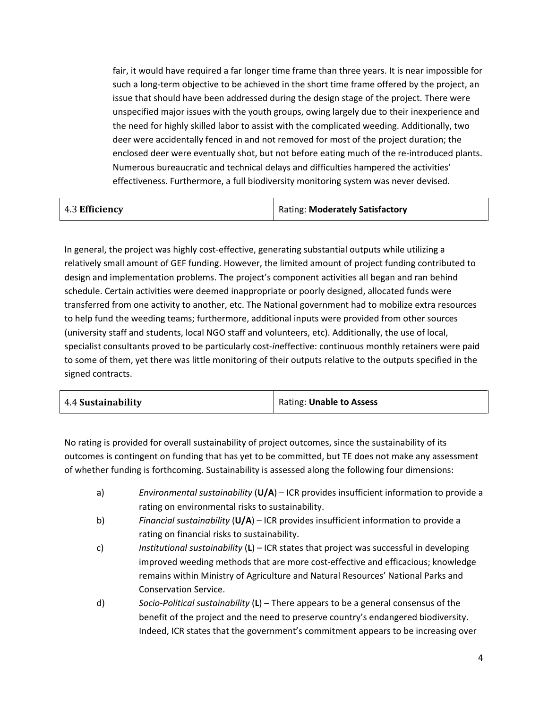fair, it would have required a far longer time frame than three years. It is near impossible for such a long-term objective to be achieved in the short time frame offered by the project, an issue that should have been addressed during the design stage of the project. There were unspecified major issues with the youth groups, owing largely due to their inexperience and the need for highly skilled labor to assist with the complicated weeding. Additionally, two deer were accidentally fenced in and not removed for most of the project duration; the enclosed deer were eventually shot, but not before eating much of the re-introduced plants. Numerous bureaucratic and technical delays and difficulties hampered the activities' effectiveness. Furthermore, a full biodiversity monitoring system was never devised.

| 4.3 Efficiency | Rating: Moderately Satisfactory |
|----------------|---------------------------------|
|                |                                 |

In general, the project was highly cost-effective, generating substantial outputs while utilizing a relatively small amount of GEF funding. However, the limited amount of project funding contributed to design and implementation problems. The project's component activities all began and ran behind schedule. Certain activities were deemed inappropriate or poorly designed, allocated funds were transferred from one activity to another, etc. The National government had to mobilize extra resources to help fund the weeding teams; furthermore, additional inputs were provided from other sources (university staff and students, local NGO staff and volunteers, etc). Additionally, the use of local, specialist consultants proved to be particularly cost-*in*effective: continuous monthly retainers were paid to some of them, yet there was little monitoring of their outputs relative to the outputs specified in the signed contracts.

| 4.4 Sustainability<br>Rating: Unable to Assess |  |
|------------------------------------------------|--|
|------------------------------------------------|--|

No rating is provided for overall sustainability of project outcomes, since the sustainability of its outcomes is contingent on funding that has yet to be committed, but TE does not make any assessment of whether funding is forthcoming. Sustainability is assessed along the following four dimensions:

- a) *Environmental sustainability* (**U/A**) ICR provides insufficient information to provide a rating on environmental risks to sustainability.
- b) *Financial sustainability* (**U/A**) ICR provides insufficient information to provide a rating on financial risks to sustainability.
- c) *Institutional sustainability* (**L**) ICR states that project was successful in developing improved weeding methods that are more cost-effective and efficacious; knowledge remains within Ministry of Agriculture and Natural Resources' National Parks and Conservation Service.
- d) *Socio-Political sustainability* (**L**) There appears to be a general consensus of the benefit of the project and the need to preserve country's endangered biodiversity. Indeed, ICR states that the government's commitment appears to be increasing over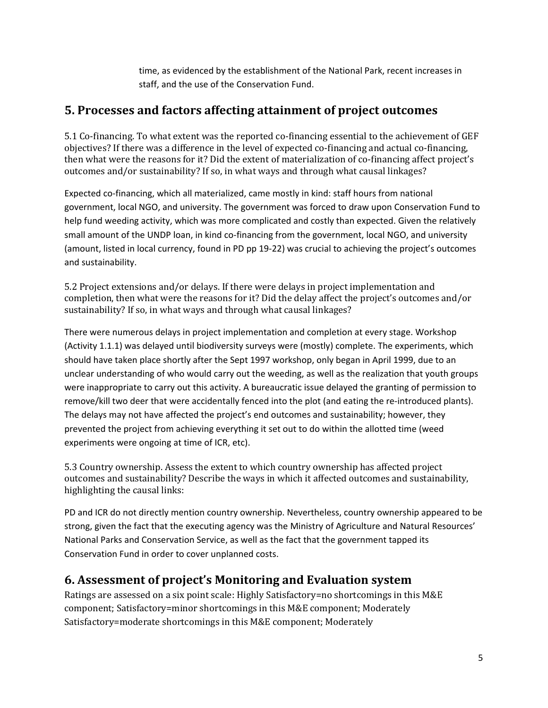time, as evidenced by the establishment of the National Park, recent increases in staff, and the use of the Conservation Fund.

#### **5. Processes and factors affecting attainment of project outcomes**

5.1 Co-financing. To what extent was the reported co-financing essential to the achievement of GEF objectives? If there was a difference in the level of expected co-financing and actual co-financing, then what were the reasons for it? Did the extent of materialization of co-financing affect project's outcomes and/or sustainability? If so, in what ways and through what causal linkages?

Expected co-financing, which all materialized, came mostly in kind: staff hours from national government, local NGO, and university. The government was forced to draw upon Conservation Fund to help fund weeding activity, which was more complicated and costly than expected. Given the relatively small amount of the UNDP loan, in kind co-financing from the government, local NGO, and university (amount, listed in local currency, found in PD pp 19-22) was crucial to achieving the project's outcomes and sustainability.

5.2 Project extensions and/or delays. If there were delays in project implementation and completion, then what were the reasons for it? Did the delay affect the project's outcomes and/or sustainability? If so, in what ways and through what causal linkages?

There were numerous delays in project implementation and completion at every stage. Workshop (Activity 1.1.1) was delayed until biodiversity surveys were (mostly) complete. The experiments, which should have taken place shortly after the Sept 1997 workshop, only began in April 1999, due to an unclear understanding of who would carry out the weeding, as well as the realization that youth groups were inappropriate to carry out this activity. A bureaucratic issue delayed the granting of permission to remove/kill two deer that were accidentally fenced into the plot (and eating the re-introduced plants). The delays may not have affected the project's end outcomes and sustainability; however, they prevented the project from achieving everything it set out to do within the allotted time (weed experiments were ongoing at time of ICR, etc).

5.3 Country ownership. Assess the extent to which country ownership has affected project outcomes and sustainability? Describe the ways in which it affected outcomes and sustainability, highlighting the causal links:

PD and ICR do not directly mention country ownership. Nevertheless, country ownership appeared to be strong, given the fact that the executing agency was the Ministry of Agriculture and Natural Resources' National Parks and Conservation Service, as well as the fact that the government tapped its Conservation Fund in order to cover unplanned costs.

#### **6. Assessment of project's Monitoring and Evaluation system**

Ratings are assessed on a six point scale: Highly Satisfactory=no shortcomings in this M&E component; Satisfactory=minor shortcomings in this M&E component; Moderately Satisfactory=moderate shortcomings in this M&E component; Moderately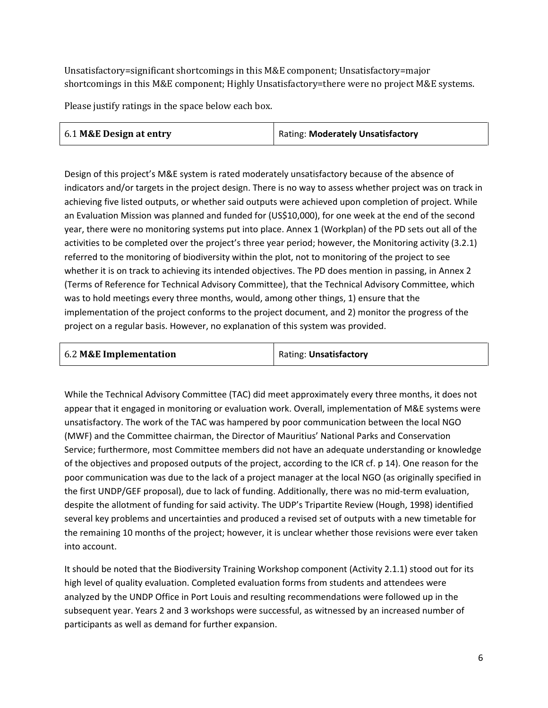Unsatisfactory=significant shortcomings in this M&E component; Unsatisfactory=major shortcomings in this M&E component; Highly Unsatisfactory=there were no project M&E systems.

Please justify ratings in the space below each box.

| 6.1 M&E Design at entry | <b>Rating: Moderately Unsatisfactory</b> |
|-------------------------|------------------------------------------|

Design of this project's M&E system is rated moderately unsatisfactory because of the absence of indicators and/or targets in the project design. There is no way to assess whether project was on track in achieving five listed outputs, or whether said outputs were achieved upon completion of project. While an Evaluation Mission was planned and funded for (US\$10,000), for one week at the end of the second year, there were no monitoring systems put into place. Annex 1 (Workplan) of the PD sets out all of the activities to be completed over the project's three year period; however, the Monitoring activity (3.2.1) referred to the monitoring of biodiversity within the plot, not to monitoring of the project to see whether it is on track to achieving its intended objectives. The PD does mention in passing, in Annex 2 (Terms of Reference for Technical Advisory Committee), that the Technical Advisory Committee, which was to hold meetings every three months, would, among other things, 1) ensure that the implementation of the project conforms to the project document, and 2) monitor the progress of the project on a regular basis. However, no explanation of this system was provided.

| 6.2 M&E Implementation | Rating: Unsatisfactory |
|------------------------|------------------------|
|------------------------|------------------------|

While the Technical Advisory Committee (TAC) did meet approximately every three months, it does not appear that it engaged in monitoring or evaluation work. Overall, implementation of M&E systems were unsatisfactory. The work of the TAC was hampered by poor communication between the local NGO (MWF) and the Committee chairman, the Director of Mauritius' National Parks and Conservation Service; furthermore, most Committee members did not have an adequate understanding or knowledge of the objectives and proposed outputs of the project, according to the ICR cf. p 14). One reason for the poor communication was due to the lack of a project manager at the local NGO (as originally specified in the first UNDP/GEF proposal), due to lack of funding. Additionally, there was no mid-term evaluation, despite the allotment of funding for said activity. The UDP's Tripartite Review (Hough, 1998) identified several key problems and uncertainties and produced a revised set of outputs with a new timetable for the remaining 10 months of the project; however, it is unclear whether those revisions were ever taken into account.

It should be noted that the Biodiversity Training Workshop component (Activity 2.1.1) stood out for its high level of quality evaluation. Completed evaluation forms from students and attendees were analyzed by the UNDP Office in Port Louis and resulting recommendations were followed up in the subsequent year. Years 2 and 3 workshops were successful, as witnessed by an increased number of participants as well as demand for further expansion.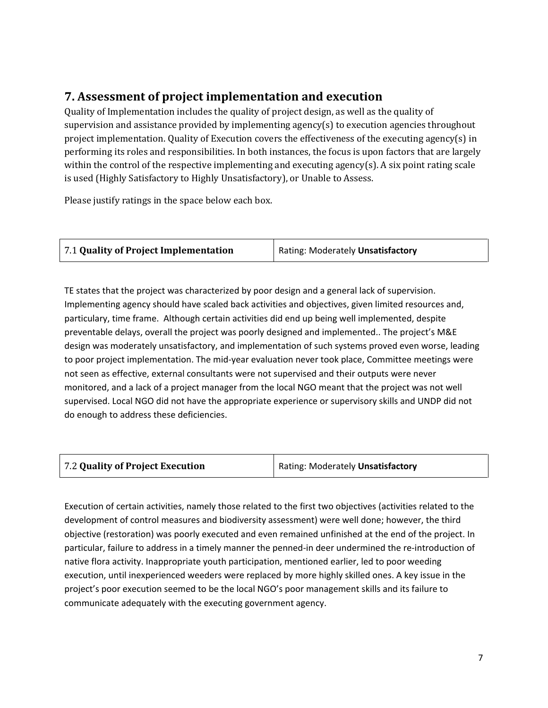## **7. Assessment of project implementation and execution**

Quality of Implementation includes the quality of project design, as well as the quality of supervision and assistance provided by implementing agency(s) to execution agencies throughout project implementation. Quality of Execution covers the effectiveness of the executing agency(s) in performing its roles and responsibilities. In both instances, the focus is upon factors that are largely within the control of the respective implementing and executing agency(s). A six point rating scale is used (Highly Satisfactory to Highly Unsatisfactory), or Unable to Assess.

Please justify ratings in the space below each box.

| 7.1 Quality of Project Implementation | Rating: Moderately Unsatisfactory |
|---------------------------------------|-----------------------------------|
|                                       |                                   |

TE states that the project was characterized by poor design and a general lack of supervision. Implementing agency should have scaled back activities and objectives, given limited resources and, particulary, time frame. Although certain activities did end up being well implemented, despite preventable delays, overall the project was poorly designed and implemented.. The project's M&E design was moderately unsatisfactory, and implementation of such systems proved even worse, leading to poor project implementation. The mid-year evaluation never took place, Committee meetings were not seen as effective, external consultants were not supervised and their outputs were never monitored, and a lack of a project manager from the local NGO meant that the project was not well supervised. Local NGO did not have the appropriate experience or supervisory skills and UNDP did not do enough to address these deficiencies.

| Rating: Moderately Unsatisfactory |
|-----------------------------------|
|                                   |

Execution of certain activities, namely those related to the first two objectives (activities related to the development of control measures and biodiversity assessment) were well done; however, the third objective (restoration) was poorly executed and even remained unfinished at the end of the project. In particular, failure to address in a timely manner the penned-in deer undermined the re-introduction of native flora activity. Inappropriate youth participation, mentioned earlier, led to poor weeding execution, until inexperienced weeders were replaced by more highly skilled ones. A key issue in the project's poor execution seemed to be the local NGO's poor management skills and its failure to communicate adequately with the executing government agency.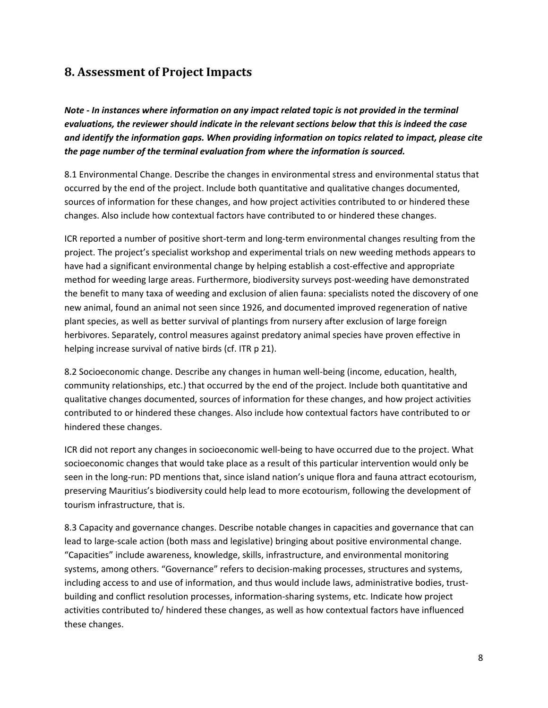### **8. Assessment of Project Impacts**

*Note - In instances where information on any impact related topic is not provided in the terminal evaluations, the reviewer should indicate in the relevant sections below that this is indeed the case and identify the information gaps. When providing information on topics related to impact, please cite the page number of the terminal evaluation from where the information is sourced.*

8.1 Environmental Change. Describe the changes in environmental stress and environmental status that occurred by the end of the project. Include both quantitative and qualitative changes documented, sources of information for these changes, and how project activities contributed to or hindered these changes. Also include how contextual factors have contributed to or hindered these changes.

ICR reported a number of positive short-term and long-term environmental changes resulting from the project. The project's specialist workshop and experimental trials on new weeding methods appears to have had a significant environmental change by helping establish a cost-effective and appropriate method for weeding large areas. Furthermore, biodiversity surveys post-weeding have demonstrated the benefit to many taxa of weeding and exclusion of alien fauna: specialists noted the discovery of one new animal, found an animal not seen since 1926, and documented improved regeneration of native plant species, as well as better survival of plantings from nursery after exclusion of large foreign herbivores. Separately, control measures against predatory animal species have proven effective in helping increase survival of native birds (cf. ITR p 21).

8.2 Socioeconomic change. Describe any changes in human well-being (income, education, health, community relationships, etc.) that occurred by the end of the project. Include both quantitative and qualitative changes documented, sources of information for these changes, and how project activities contributed to or hindered these changes. Also include how contextual factors have contributed to or hindered these changes.

ICR did not report any changes in socioeconomic well-being to have occurred due to the project. What socioeconomic changes that would take place as a result of this particular intervention would only be seen in the long-run: PD mentions that, since island nation's unique flora and fauna attract ecotourism, preserving Mauritius's biodiversity could help lead to more ecotourism, following the development of tourism infrastructure, that is.

8.3 Capacity and governance changes. Describe notable changes in capacities and governance that can lead to large-scale action (both mass and legislative) bringing about positive environmental change. "Capacities" include awareness, knowledge, skills, infrastructure, and environmental monitoring systems, among others. "Governance" refers to decision-making processes, structures and systems, including access to and use of information, and thus would include laws, administrative bodies, trustbuilding and conflict resolution processes, information-sharing systems, etc. Indicate how project activities contributed to/ hindered these changes, as well as how contextual factors have influenced these changes.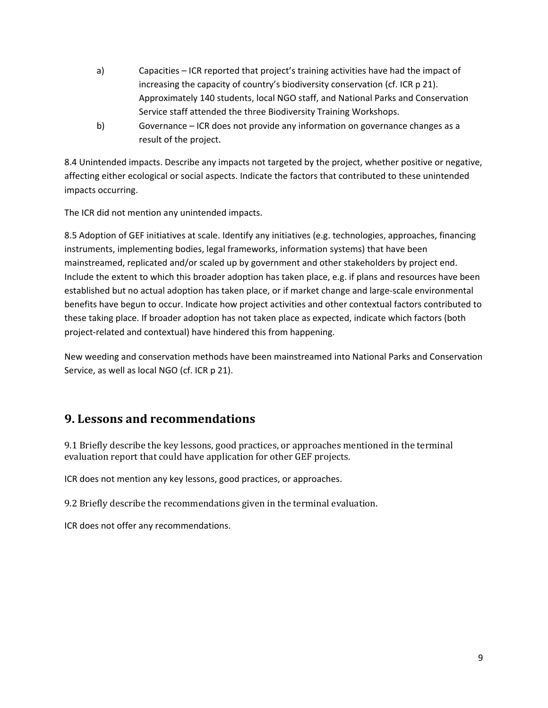- a) Capacities ICR reported that project's training activities have had the impact of increasing the capacity of country's biodiversity conservation (cf. ICR p 21). Approximately 140 students, local NGO staff, and National Parks and Conservation Service staff attended the three Biodiversity Training Workshops.
- b) Governance ICR does not provide any information on governance changes as a result of the project.

8.4 Unintended impacts. Describe any impacts not targeted by the project, whether positive or negative, affecting either ecological or social aspects. Indicate the factors that contributed to these unintended impacts occurring.

The ICR did not mention any unintended impacts.

8.5 Adoption of GEF initiatives at scale. Identify any initiatives (e.g. technologies, approaches, financing instruments, implementing bodies, legal frameworks, information systems) that have been mainstreamed, replicated and/or scaled up by government and other stakeholders by project end. Include the extent to which this broader adoption has taken place, e.g. if plans and resources have been established but no actual adoption has taken place, or if market change and large-scale environmental benefits have begun to occur. Indicate how project activities and other contextual factors contributed to these taking place. If broader adoption has not taken place as expected, indicate which factors (both project-related and contextual) have hindered this from happening.

New weeding and conservation methods have been mainstreamed into National Parks and Conservation Service, as well as local NGO (cf. ICR p 21).

### **9. Lessons and recommendations**

9.1 Briefly describe the key lessons, good practices, or approaches mentioned in the terminal evaluation report that could have application for other GEF projects.

ICR does not mention any key lessons, good practices, or approaches.

9.2 Briefly describe the recommendations given in the terminal evaluation.

ICR does not offer any recommendations.